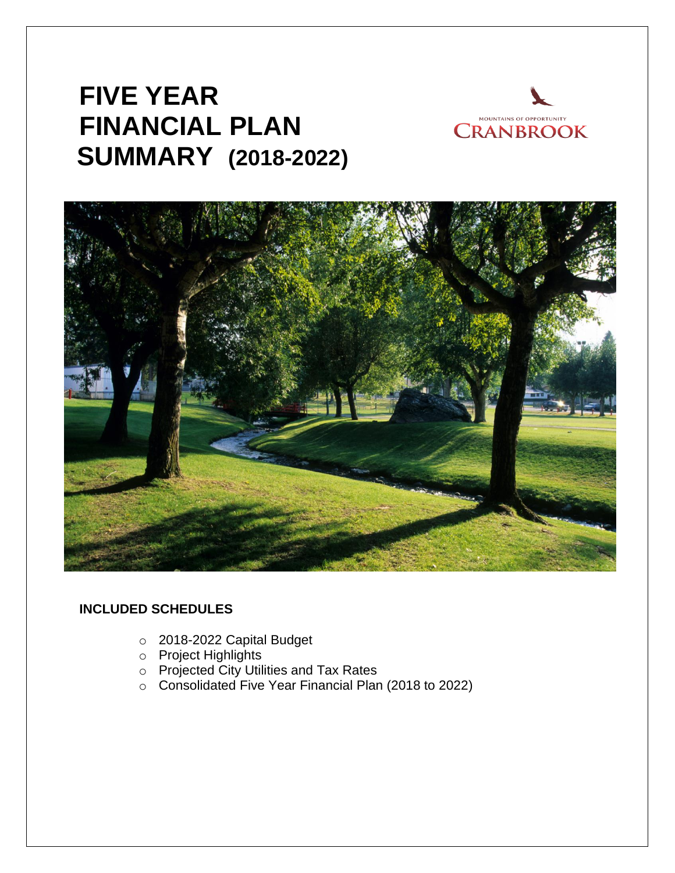# **FIVE YEAR FINANCIAL PLAN SUMMARY (2018-2022)**





# **INCLUDED SCHEDULES**

- o 2018-2022 Capital Budget
- o Project Highlights
- o Projected City Utilities and Tax Rates
- o Consolidated Five Year Financial Plan (2018 to 2022)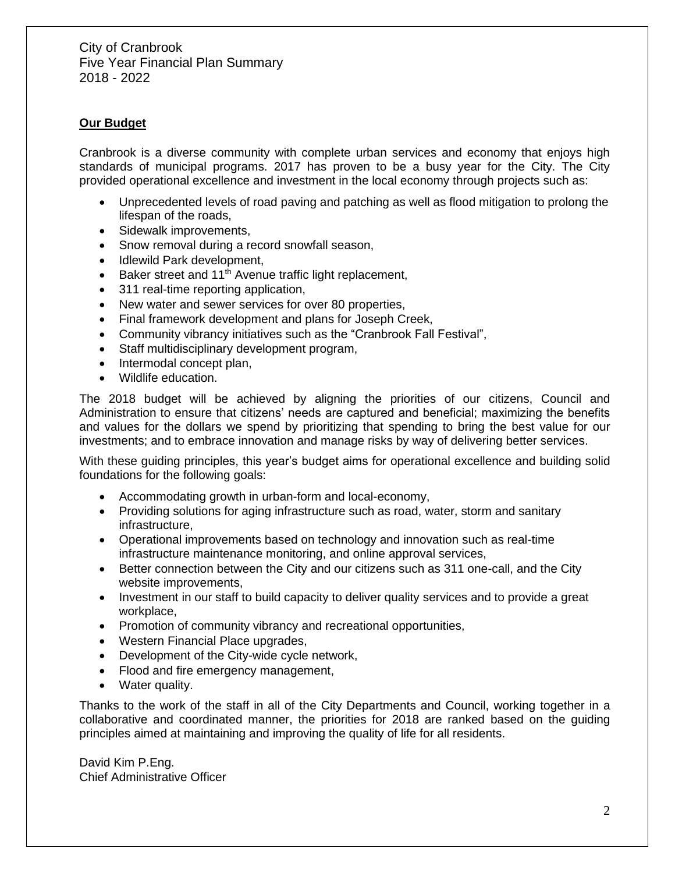## **Our Budget**

Cranbrook is a diverse community with complete urban services and economy that enjoys high standards of municipal programs. 2017 has proven to be a busy year for the City. The City provided operational excellence and investment in the local economy through projects such as:

- Unprecedented levels of road paving and patching as well as flood mitigation to prolong the lifespan of the roads,
- Sidewalk improvements,
- Snow removal during a record snowfall season,
- Idlewild Park development,
- Baker street and  $11<sup>th</sup>$  Avenue traffic light replacement,
- 311 real-time reporting application,
- New water and sewer services for over 80 properties,
- Final framework development and plans for Joseph Creek,
- Community vibrancy initiatives such as the "Cranbrook Fall Festival",
- Staff multidisciplinary development program,
- Intermodal concept plan,
- Wildlife education.

The 2018 budget will be achieved by aligning the priorities of our citizens, Council and Administration to ensure that citizens' needs are captured and beneficial; maximizing the benefits and values for the dollars we spend by prioritizing that spending to bring the best value for our investments; and to embrace innovation and manage risks by way of delivering better services.

With these guiding principles, this year's budget aims for operational excellence and building solid foundations for the following goals:

- Accommodating growth in urban-form and local-economy,
- Providing solutions for aging infrastructure such as road, water, storm and sanitary infrastructure,
- Operational improvements based on technology and innovation such as real-time infrastructure maintenance monitoring, and online approval services,
- Better connection between the City and our citizens such as 311 one-call, and the City website improvements,
- Investment in our staff to build capacity to deliver quality services and to provide a great workplace,
- Promotion of community vibrancy and recreational opportunities,
- Western Financial Place upgrades,
- Development of the City-wide cycle network,
- Flood and fire emergency management,
- Water quality.

Thanks to the work of the staff in all of the City Departments and Council, working together in a collaborative and coordinated manner, the priorities for 2018 are ranked based on the guiding principles aimed at maintaining and improving the quality of life for all residents.

David Kim P.Eng. Chief Administrative Officer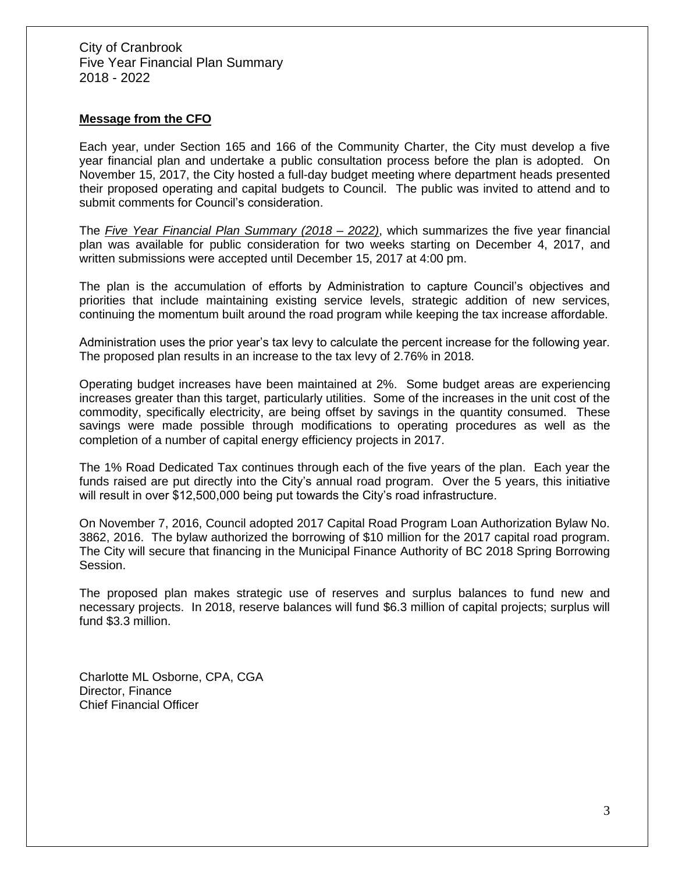### **Message from the CFO**

Each year, under Section 165 and 166 of the Community Charter, the City must develop a five year financial plan and undertake a public consultation process before the plan is adopted. On November 15, 2017, the City hosted a full-day budget meeting where department heads presented their proposed operating and capital budgets to Council. The public was invited to attend and to submit comments for Council's consideration.

The *Five Year Financial Plan Summary (2018 – 2022)*, which summarizes the five year financial plan was available for public consideration for two weeks starting on December 4, 2017, and written submissions were accepted until December 15, 2017 at 4:00 pm.

The plan is the accumulation of efforts by Administration to capture Council's objectives and priorities that include maintaining existing service levels, strategic addition of new services, continuing the momentum built around the road program while keeping the tax increase affordable.

Administration uses the prior year's tax levy to calculate the percent increase for the following year. The proposed plan results in an increase to the tax levy of 2.76% in 2018.

Operating budget increases have been maintained at 2%. Some budget areas are experiencing increases greater than this target, particularly utilities. Some of the increases in the unit cost of the commodity, specifically electricity, are being offset by savings in the quantity consumed. These savings were made possible through modifications to operating procedures as well as the completion of a number of capital energy efficiency projects in 2017.

The 1% Road Dedicated Tax continues through each of the five years of the plan. Each year the funds raised are put directly into the City's annual road program. Over the 5 years, this initiative will result in over \$12,500,000 being put towards the City's road infrastructure.

On November 7, 2016, Council adopted 2017 Capital Road Program Loan Authorization Bylaw No. 3862, 2016. The bylaw authorized the borrowing of \$10 million for the 2017 capital road program. The City will secure that financing in the Municipal Finance Authority of BC 2018 Spring Borrowing Session.

The proposed plan makes strategic use of reserves and surplus balances to fund new and necessary projects. In 2018, reserve balances will fund \$6.3 million of capital projects; surplus will fund \$3.3 million.

Charlotte ML Osborne, CPA, CGA Director, Finance Chief Financial Officer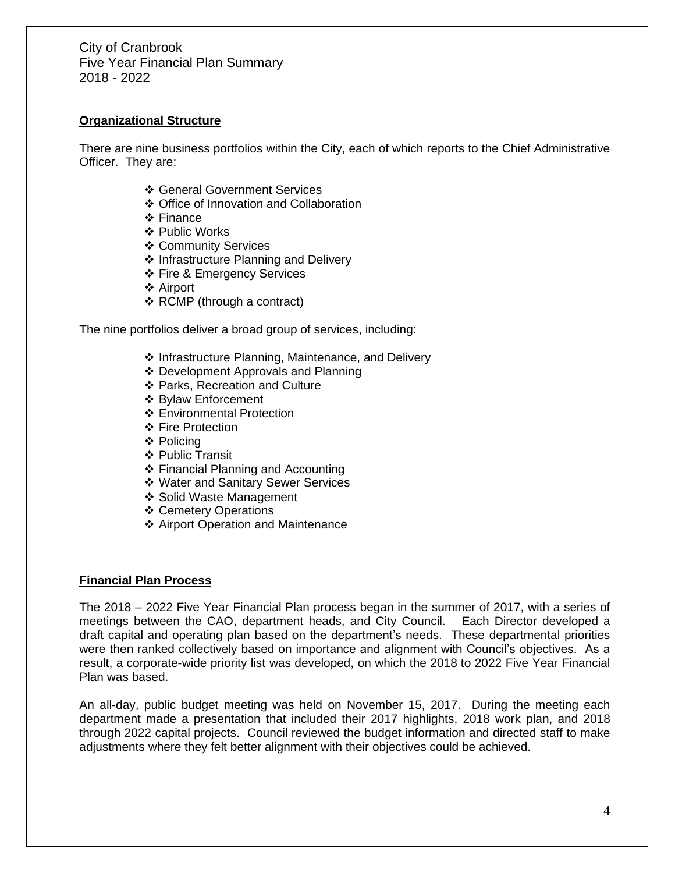## **Organizational Structure**

There are nine business portfolios within the City, each of which reports to the Chief Administrative Officer. They are:

- ❖ General Government Services
- ❖ Office of Innovation and Collaboration
- ❖ Finance
- ❖ Public Works
- ❖ Community Services
- ❖ Infrastructure Planning and Delivery
- ❖ Fire & Emergency Services
- ❖ Airport
- ❖ RCMP (through a contract)

The nine portfolios deliver a broad group of services, including:

- ❖ Infrastructure Planning, Maintenance, and Delivery
- ❖ Development Approvals and Planning
- ❖ Parks, Recreation and Culture
- ❖ Bylaw Enforcement
- ❖ Environmental Protection
- ❖ Fire Protection
- ❖ Policing
- ❖ Public Transit
- ❖ Financial Planning and Accounting
- ❖ Water and Sanitary Sewer Services
- ❖ Solid Waste Management
- ❖ Cemetery Operations
- ❖ Airport Operation and Maintenance

### **Financial Plan Process**

The 2018 – 2022 Five Year Financial Plan process began in the summer of 2017, with a series of meetings between the CAO, department heads, and City Council. Each Director developed a draft capital and operating plan based on the department's needs. These departmental priorities were then ranked collectively based on importance and alignment with Council's objectives. As a result, a corporate-wide priority list was developed, on which the 2018 to 2022 Five Year Financial Plan was based.

An all-day, public budget meeting was held on November 15, 2017. During the meeting each department made a presentation that included their 2017 highlights, 2018 work plan, and 2018 through 2022 capital projects. Council reviewed the budget information and directed staff to make adjustments where they felt better alignment with their objectives could be achieved.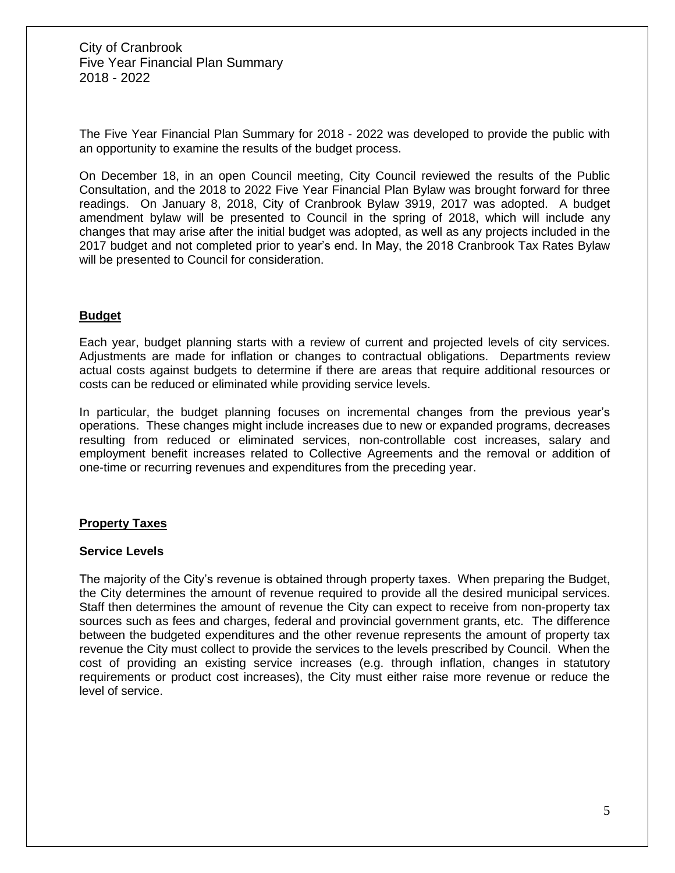The Five Year Financial Plan Summary for 2018 - 2022 was developed to provide the public with an opportunity to examine the results of the budget process.

On December 18, in an open Council meeting, City Council reviewed the results of the Public Consultation, and the 2018 to 2022 Five Year Financial Plan Bylaw was brought forward for three readings. On January 8, 2018, City of Cranbrook Bylaw 3919, 2017 was adopted. A budget amendment bylaw will be presented to Council in the spring of 2018, which will include any changes that may arise after the initial budget was adopted, as well as any projects included in the 2017 budget and not completed prior to year's end. In May, the 2018 Cranbrook Tax Rates Bylaw will be presented to Council for consideration.

### **Budget**

Each year, budget planning starts with a review of current and projected levels of city services. Adjustments are made for inflation or changes to contractual obligations. Departments review actual costs against budgets to determine if there are areas that require additional resources or costs can be reduced or eliminated while providing service levels.

In particular, the budget planning focuses on incremental changes from the previous year's operations. These changes might include increases due to new or expanded programs, decreases resulting from reduced or eliminated services, non-controllable cost increases, salary and employment benefit increases related to Collective Agreements and the removal or addition of one-time or recurring revenues and expenditures from the preceding year.

### **Property Taxes**

### **Service Levels**

The majority of the City's revenue is obtained through property taxes. When preparing the Budget, the City determines the amount of revenue required to provide all the desired municipal services. Staff then determines the amount of revenue the City can expect to receive from non-property tax sources such as fees and charges, federal and provincial government grants, etc. The difference between the budgeted expenditures and the other revenue represents the amount of property tax revenue the City must collect to provide the services to the levels prescribed by Council. When the cost of providing an existing service increases (e.g. through inflation, changes in statutory requirements or product cost increases), the City must either raise more revenue or reduce the level of service.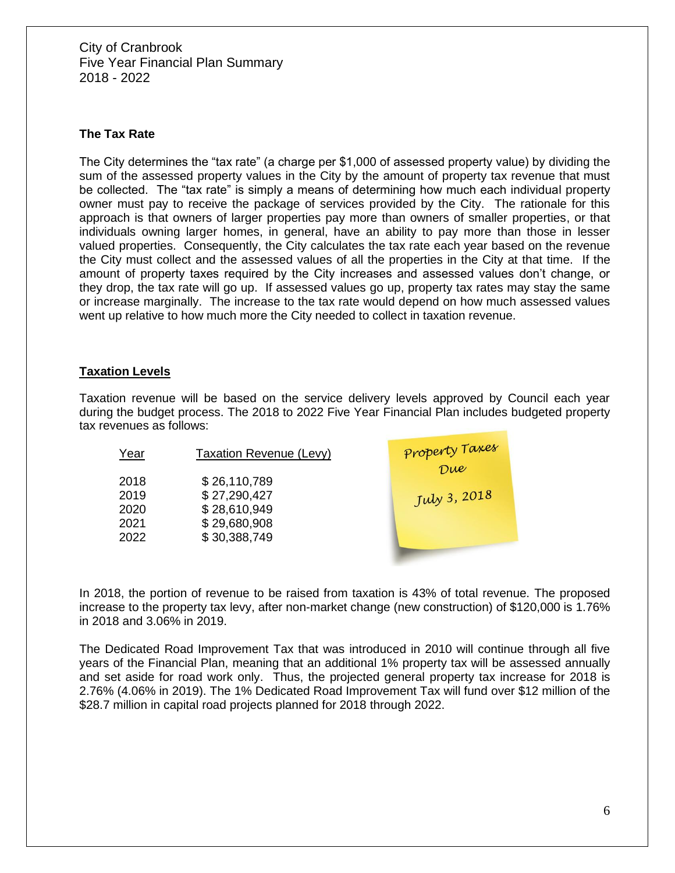## **The Tax Rate**

The City determines the "tax rate" (a charge per \$1,000 of assessed property value) by dividing the sum of the assessed property values in the City by the amount of property tax revenue that must be collected. The "tax rate" is simply a means of determining how much each individual property owner must pay to receive the package of services provided by the City. The rationale for this approach is that owners of larger properties pay more than owners of smaller properties, or that individuals owning larger homes, in general, have an ability to pay more than those in lesser valued properties. Consequently, the City calculates the tax rate each year based on the revenue the City must collect and the assessed values of all the properties in the City at that time. If the amount of property taxes required by the City increases and assessed values don't change, or they drop, the tax rate will go up. If assessed values go up, property tax rates may stay the same or increase marginally. The increase to the tax rate would depend on how much assessed values went up relative to how much more the City needed to collect in taxation revenue.

## **Taxation Levels**

Taxation revenue will be based on the service delivery levels approved by Council each year during the budget process. The 2018 to 2022 Five Year Financial Plan includes budgeted property tax revenues as follows:

Year Taxation Revenue (Levy)

 \$ 26,110,789 \$ 27,290,427 \$ 28,610,949 \$ 29,680,908 \$ 30,388,749



In 2018, the portion of revenue to be raised from taxation is 43% of total revenue. The proposed increase to the property tax levy, after non-market change (new construction) of \$120,000 is 1.76% in 2018 and 3.06% in 2019.

The Dedicated Road Improvement Tax that was introduced in 2010 will continue through all five years of the Financial Plan, meaning that an additional 1% property tax will be assessed annually and set aside for road work only. Thus, the projected general property tax increase for 2018 is 2.76% (4.06% in 2019). The 1% Dedicated Road Improvement Tax will fund over \$12 million of the \$28.7 million in capital road projects planned for 2018 through 2022.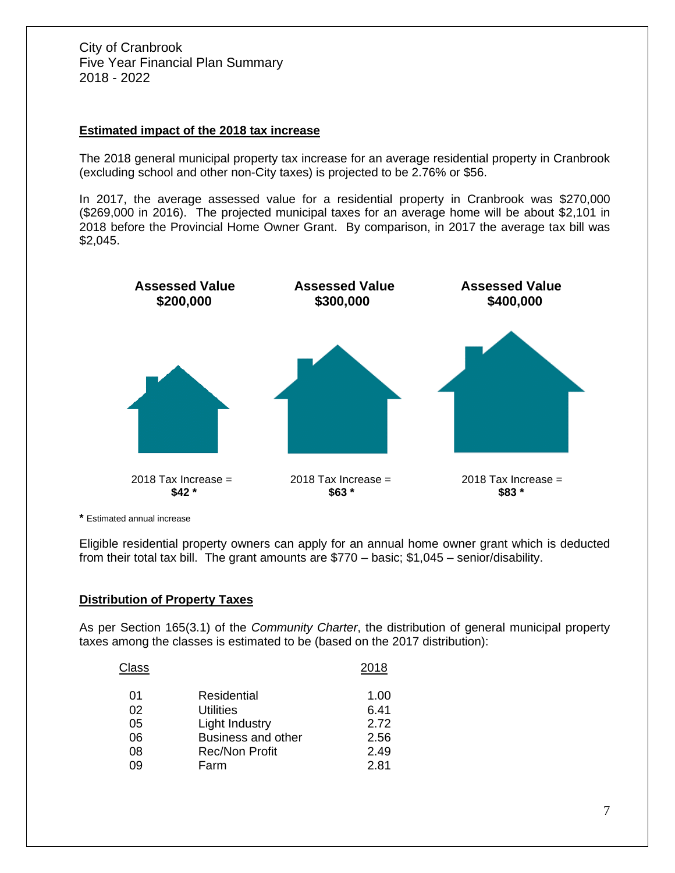## **Estimated impact of the 2018 tax increase**

The 2018 general municipal property tax increase for an average residential property in Cranbrook (excluding school and other non-City taxes) is projected to be 2.76% or \$56.

In 2017, the average assessed value for a residential property in Cranbrook was \$270,000 (\$269,000 in 2016). The projected municipal taxes for an average home will be about \$2,101 in 2018 before the Provincial Home Owner Grant. By comparison, in 2017 the average tax bill was \$2,045.



**\*** Estimated annual increase

Eligible residential property owners can apply for an annual home owner grant which is deducted from their total tax bill. The grant amounts are \$770 – basic; \$1,045 – senior/disability.

### **Distribution of Property Taxes**

As per Section 165(3.1) of the *Community Charter*, the distribution of general municipal property taxes among the classes is estimated to be (based on the 2017 distribution):

| Class |                           | 2018 |
|-------|---------------------------|------|
| 01    | Residential               | 1.00 |
| 02    | Utilities                 | 6.41 |
| 05    | Light Industry            | 2.72 |
| 06    | <b>Business and other</b> | 2.56 |
| 08    | <b>Rec/Non Profit</b>     | 2.49 |
| 09    | Farm                      | 2.81 |
|       |                           |      |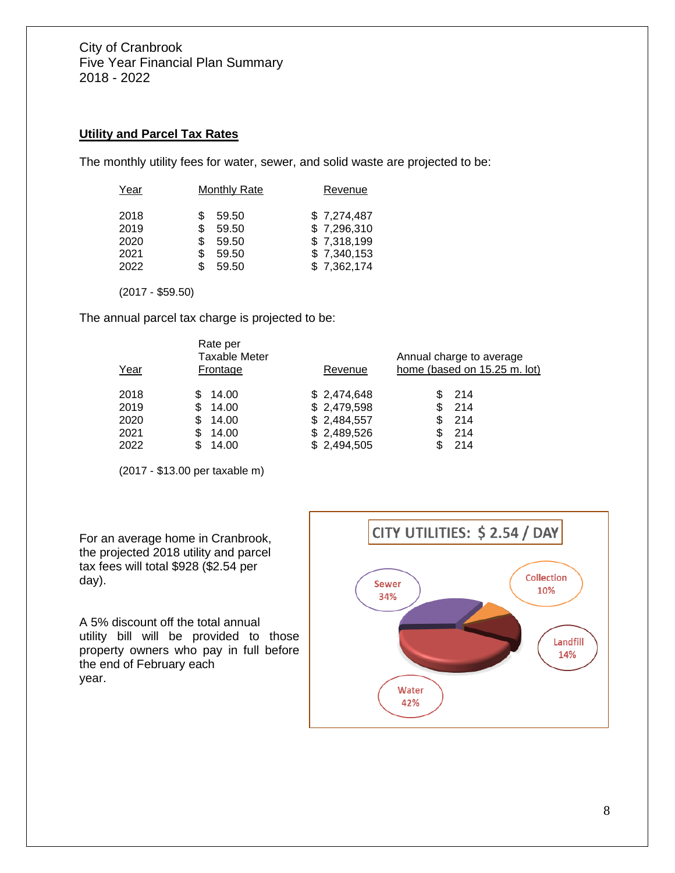## **Utility and Parcel Tax Rates**

The monthly utility fees for water, sewer, and solid waste are projected to be:

| Year | <b>Monthly Rate</b> | Revenue     |
|------|---------------------|-------------|
| 2018 | \$<br>59.50         | \$7,274,487 |
| 2019 | \$<br>59.50         | \$7,296,310 |
| 2020 | \$<br>59.50         | \$7,318,199 |
| 2021 | \$<br>59.50         | \$7,340,153 |
| 2022 | \$<br>59.50         | \$7,362,174 |

(2017 - \$59.50)

The annual parcel tax charge is projected to be:

|      | Rate per<br><b>Taxable Meter</b> |             | Annual charge to average     |
|------|----------------------------------|-------------|------------------------------|
| Year | Frontage                         | Revenue     | home (based on 15.25 m. lot) |
| 2018 | 14.00                            | \$2,474,648 | -214                         |
| 2019 | 14.00<br>S                       | \$2,479,598 | -214<br>\$                   |
| 2020 | 14.00<br>S                       | \$2,484,557 | -214<br>S                    |
| 2021 | S<br>14.00                       | \$2,489,526 | -214                         |
| 2022 | 14.00                            | \$2,494,505 | -214                         |

(2017 - \$13.00 per taxable m)

For an average home in Cranbrook, the projected 2018 utility and parcel tax fees will total \$928 (\$2.54 per day).

A 5% discount off the total annual utility bill will be provided to those property owners who pay in full before the end of February each year.

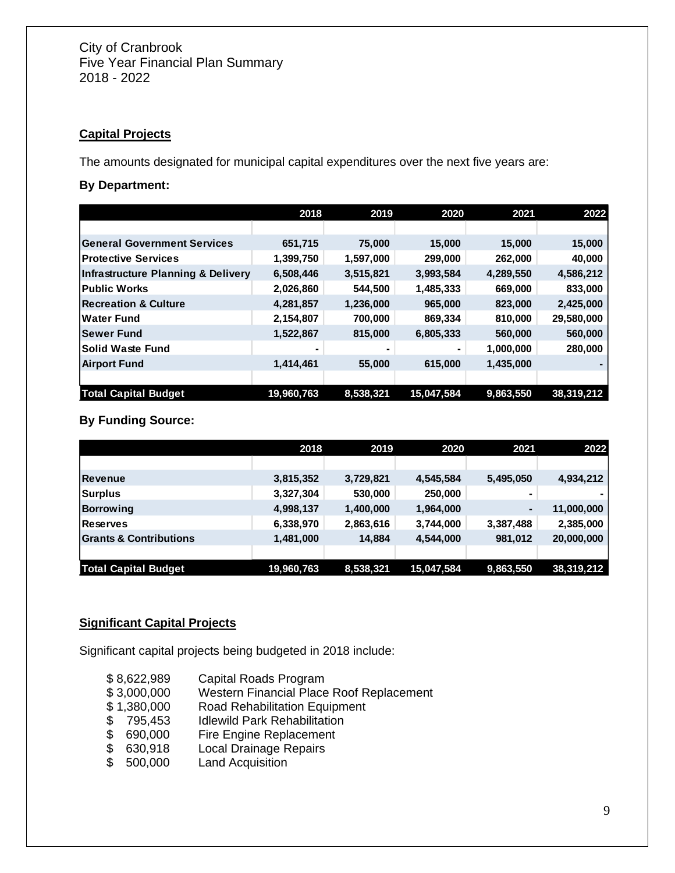## **Capital Projects**

The amounts designated for municipal capital expenditures over the next five years are:

## **By Department:**

|                                    | 2018       | 2019      | 2020       | 2021      | 2022       |
|------------------------------------|------------|-----------|------------|-----------|------------|
|                                    |            |           |            |           |            |
| <b>General Government Services</b> | 651,715    | 75,000    | 15,000     | 15,000    | 15,000     |
| <b>Protective Services</b>         | 1,399,750  | 1,597,000 | 299,000    | 262,000   | 40,000     |
| Infrastructure Planning & Delivery | 6,508,446  | 3,515,821 | 3,993,584  | 4,289,550 | 4,586,212  |
| <b>Public Works</b>                | 2,026,860  | 544,500   | 1,485,333  | 669,000   | 833,000    |
| <b>Recreation &amp; Culture</b>    | 4,281,857  | 1,236,000 | 965,000    | 823,000   | 2,425,000  |
| ∣Water Fund                        | 2,154,807  | 700,000   | 869,334    | 810,000   | 29,580,000 |
| <b>Sewer Fund</b>                  | 1,522,867  | 815,000   | 6,805,333  | 560,000   | 560,000    |
| <b>Solid Waste Fund</b>            |            |           |            | 1,000,000 | 280,000    |
| Airport Fund                       | 1,414,461  | 55,000    | 615,000    | 1,435,000 |            |
|                                    |            |           |            |           |            |
| <b>Total Capital Budget</b>        | 19,960,763 | 8,538,321 | 15,047,584 | 9,863,550 | 38,319,212 |

## **By Funding Source:**

|                                   | 2018       | 2019      | 2020       | 2021           | 2022       |
|-----------------------------------|------------|-----------|------------|----------------|------------|
|                                   |            |           |            |                |            |
| <b>Revenue</b>                    | 3,815,352  | 3,729,821 | 4,545,584  | 5,495,050      | 4,934,212  |
| Surplus                           | 3,327,304  | 530,000   | 250,000    |                |            |
| Borrowing                         | 4,998,137  | 1,400,000 | 1,964,000  | $\blacksquare$ | 11,000,000 |
| Reserves                          | 6,338,970  | 2,863,616 | 3,744,000  | 3,387,488      | 2,385,000  |
| <b>Grants &amp; Contributions</b> | 1,481,000  | 14,884    | 4,544,000  | 981,012        | 20,000,000 |
|                                   |            |           |            |                |            |
| <b>Total Capital Budget</b>       | 19,960,763 | 8,538,321 | 15,047,584 | 9,863,550      | 38,319,212 |

## **Significant Capital Projects**

Significant capital projects being budgeted in 2018 include:

- \$ 8,622,989 Capital Roads Program
- \$ 3,000,000 Western Financial Place Roof Replacement
- \$ 1,380,000 Road Rehabilitation Equipment
- \$ 795,453 Idlewild Park Rehabilitation<br>\$ 690,000 Fire Engine Replacement
- \$ 690,000 Fire Engine Replacement<br>\$ 630,918 Local Drainage Repairs<br>\$ 500,000 Land Acquisition
- **Local Drainage Repairs**
- \$ 500,000 Land Acquisition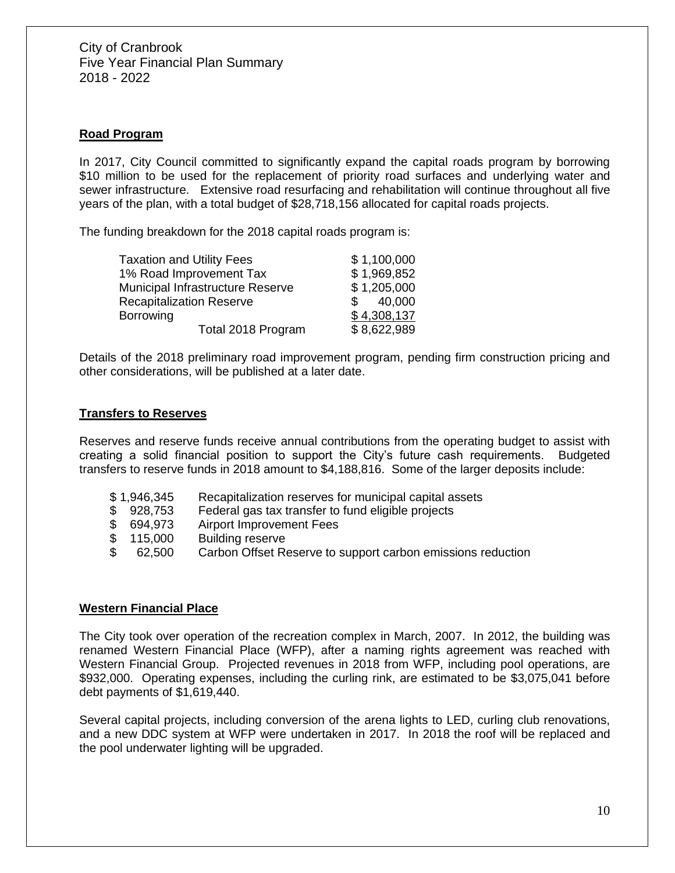## **Road Program**

In 2017, City Council committed to significantly expand the capital roads program by borrowing \$10 million to be used for the replacement of priority road surfaces and underlying water and sewer infrastructure. Extensive road resurfacing and rehabilitation will continue throughout all five years of the plan, with a total budget of \$28,718,156 allocated for capital roads projects.

The funding breakdown for the 2018 capital roads program is:

| <b>Taxation and Utility Fees</b> | \$1,100,000             |
|----------------------------------|-------------------------|
| 1% Road Improvement Tax          | \$1,969,852             |
| Municipal Infrastructure Reserve | \$1,205,000             |
| <b>Recapitalization Reserve</b>  | 40,000<br>$\mathcal{S}$ |
| <b>Borrowing</b>                 | \$4,308,137             |
| Total 2018 Program               | \$8,622,989             |

Details of the 2018 preliminary road improvement program, pending firm construction pricing and other considerations, will be published at a later date.

## **Transfers to Reserves**

Reserves and reserve funds receive annual contributions from the operating budget to assist with creating a solid financial position to support the City's future cash requirements. Budgeted transfers to reserve funds in 2018 amount to \$4,188,816. Some of the larger deposits include:

- \$ 1,946,345 Recapitalization reserves for municipal capital assets
- \$ 928,753 Federal gas tax transfer to fund eligible projects
- \$ 694,973 Airport Improvement Fees
- \$ 115,000 Building reserve
- \$ 62,500 Carbon Offset Reserve to support carbon emissions reduction

## **Western Financial Place**

The City took over operation of the recreation complex in March, 2007. In 2012, the building was renamed Western Financial Place (WFP), after a naming rights agreement was reached with Western Financial Group. Projected revenues in 2018 from WFP, including pool operations, are \$932,000. Operating expenses, including the curling rink, are estimated to be \$3,075,041 before debt payments of \$1,619,440.

Several capital projects, including conversion of the arena lights to LED, curling club renovations, and a new DDC system at WFP were undertaken in 2017. In 2018 the roof will be replaced and the pool underwater lighting will be upgraded.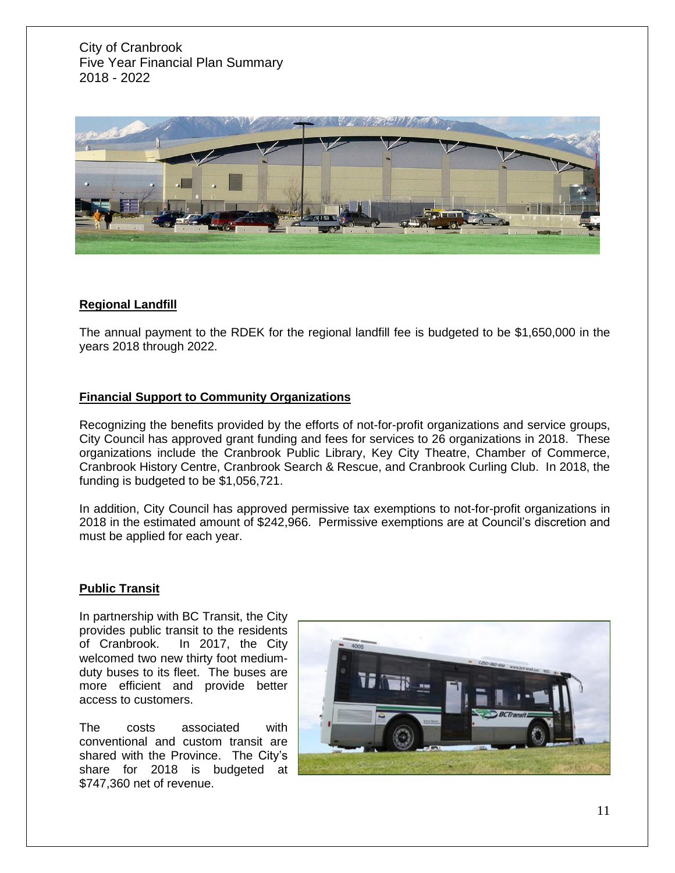

## **Regional Landfill**

The annual payment to the RDEK for the regional landfill fee is budgeted to be \$1,650,000 in the years 2018 through 2022.

## **Financial Support to Community Organizations**

Recognizing the benefits provided by the efforts of not-for-profit organizations and service groups, City Council has approved grant funding and fees for services to 26 organizations in 2018. These organizations include the Cranbrook Public Library, Key City Theatre, Chamber of Commerce, Cranbrook History Centre, Cranbrook Search & Rescue, and Cranbrook Curling Club. In 2018, the funding is budgeted to be \$1,056,721.

In addition, City Council has approved permissive tax exemptions to not-for-profit organizations in 2018 in the estimated amount of \$242,966. Permissive exemptions are at Council's discretion and must be applied for each year.

### **Public Transit**

In partnership with BC Transit, the City provides public transit to the residents of Cranbrook. In 2017, the City welcomed two new thirty foot mediumduty buses to its fleet. The buses are more efficient and provide better access to customers.

The costs associated with conventional and custom transit are shared with the Province. The City's share for 2018 is budgeted at \$747,360 net of revenue.

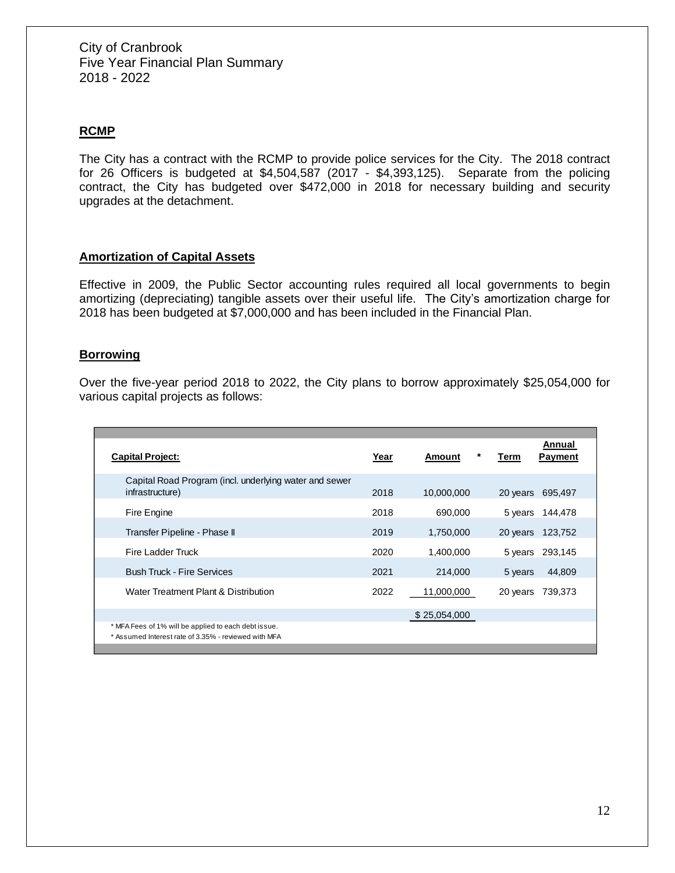## **RCMP**

The City has a contract with the RCMP to provide police services for the City. The 2018 contract for 26 Officers is budgeted at \$4,504,587 (2017 - \$4,393,125). Separate from the policing contract, the City has budgeted over \$472,000 in 2018 for necessary building and security upgrades at the detachment.

### **Amortization of Capital Assets**

Effective in 2009, the Public Sector accounting rules required all local governments to begin amortizing (depreciating) tangible assets over their useful life. The City's amortization charge for 2018 has been budgeted at \$7,000,000 and has been included in the Financial Plan.

#### **Borrowing**

Over the five-year period 2018 to 2022, the City plans to borrow approximately \$25,054,000 for various capital projects as follows:

| <b>Capital Project:</b>                                                                                      | Year | *<br>Amount  | Annual<br><b>Payment</b><br>Term |
|--------------------------------------------------------------------------------------------------------------|------|--------------|----------------------------------|
| Capital Road Program (incl. underlying water and sewer<br>infrastructure)                                    | 2018 | 10,000,000   | 695,497<br>20 years              |
| Fire Engine                                                                                                  | 2018 | 690,000      | 5 years 144,478                  |
| Transfer Pipeline - Phase II                                                                                 | 2019 | 1,750,000    | 123,752<br>20 years              |
| Fire Ladder Truck                                                                                            | 2020 | 1,400,000    | 5 years<br>293,145               |
| <b>Bush Truck - Fire Services</b>                                                                            | 2021 | 214.000      | 44,809<br>5 years                |
| Water Treatment Plant & Distribution                                                                         | 2022 | 11,000,000   | 739,373<br>20 years              |
|                                                                                                              |      | \$25,054,000 |                                  |
| * MFA Fees of 1% will be applied to each debt issue.<br>* Assumed Interest rate of 3.35% - reviewed with MFA |      |              |                                  |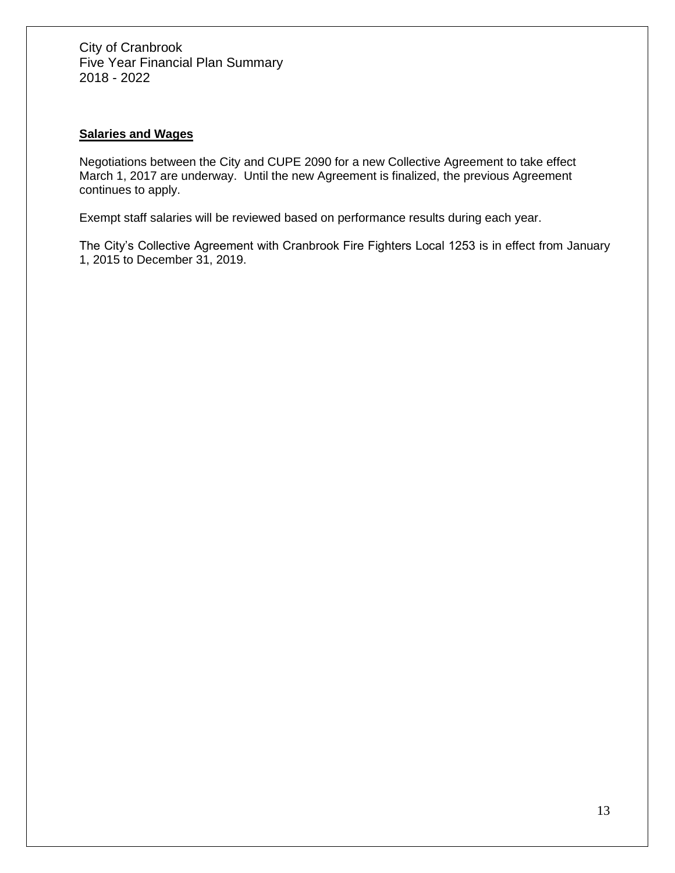## **Salaries and Wages**

Negotiations between the City and CUPE 2090 for a new Collective Agreement to take effect March 1, 2017 are underway. Until the new Agreement is finalized, the previous Agreement continues to apply.

Exempt staff salaries will be reviewed based on performance results during each year.

The City's Collective Agreement with Cranbrook Fire Fighters Local 1253 is in effect from January 1, 2015 to December 31, 2019.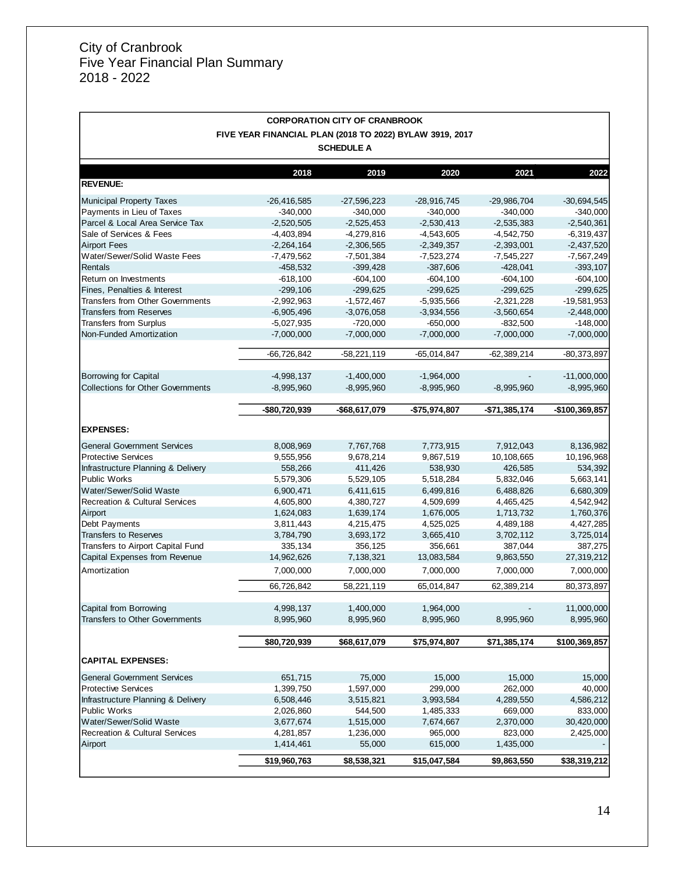$\Gamma$ 

| <b>CORPORATION CITY OF CRANBROOK</b>                     |               |               |                |                |                |  |
|----------------------------------------------------------|---------------|---------------|----------------|----------------|----------------|--|
| FIVE YEAR FINANCIAL PLAN (2018 TO 2022) BYLAW 3919, 2017 |               |               |                |                |                |  |
| <b>SCHEDULE A</b>                                        |               |               |                |                |                |  |
|                                                          | 2018          | 2019          | 2020           | 2021           | 2022           |  |
| <b>REVENUE:</b>                                          |               |               |                |                |                |  |
| <b>Municipal Property Taxes</b>                          | $-26,416,585$ | $-27,596,223$ | $-28,916,745$  | $-29,986,704$  | $-30,694,545$  |  |
| Payments in Lieu of Taxes                                | $-340,000$    | $-340,000$    | $-340,000$     | $-340,000$     | $-340,000$     |  |
| Parcel & Local Area Service Tax                          | $-2,520,505$  | $-2,525,453$  | $-2,530,413$   | $-2,535,383$   | $-2,540,361$   |  |
| Sale of Services & Fees                                  | $-4,403,894$  | $-4,279,816$  | $-4,543,605$   | $-4,542,750$   | $-6,319,437$   |  |
| <b>Airport Fees</b>                                      | $-2,264,164$  | $-2,306,565$  | $-2,349,357$   | $-2,393,001$   | $-2,437,520$   |  |
| Water/Sewer/Solid Waste Fees                             | $-7,479,562$  | $-7,501,384$  | $-7,523,274$   | $-7,545,227$   | $-7,567,249$   |  |
| Rentals                                                  | $-458,532$    | $-399,428$    | $-387,606$     | $-428,041$     | $-393,107$     |  |
| Return on Investments                                    | $-618,100$    | $-604, 100$   | $-604, 100$    | $-604, 100$    | $-604, 100$    |  |
| Fines, Penalties & Interest                              | $-299,106$    | $-299,625$    | $-299,625$     | $-299,625$     | $-299,625$     |  |
| <b>Transfers from Other Governments</b>                  | $-2,992,963$  | $-1,572,467$  | $-5,935,566$   | $-2,321,228$   | $-19,581,953$  |  |
| <b>Transfers from Reserves</b>                           | $-6,905,496$  | $-3,076,058$  | $-3,934,556$   | $-3,560,654$   | $-2,448,000$   |  |
| <b>Transfers from Surplus</b>                            | $-5,027,935$  | $-720,000$    | $-650,000$     | $-832,500$     | $-148,000$     |  |
| Non-Funded Amortization                                  | $-7,000,000$  | $-7,000,000$  | $-7,000,000$   | $-7,000,000$   | $-7,000,000$   |  |
|                                                          |               |               |                |                |                |  |
|                                                          | $-66,726,842$ | $-58,221,119$ | $-65,014,847$  | $-62,389,214$  | $-80,373,897$  |  |
| <b>Borrowing for Capital</b>                             | $-4,998,137$  | $-1,400,000$  | $-1,964,000$   |                | $-11,000,000$  |  |
| <b>Collections for Other Governments</b>                 | $-8,995,960$  | $-8,995,960$  | $-8,995,960$   | $-8,995,960$   | $-8,995,960$   |  |
|                                                          |               |               |                |                |                |  |
|                                                          | -\$80,720,939 | -\$68,617,079 | $-$75,974,807$ | $-$71,385,174$ | -\$100,369,857 |  |
| <b>EXPENSES:</b>                                         |               |               |                |                |                |  |
|                                                          |               |               |                |                |                |  |
| <b>General Government Services</b>                       | 8,008,969     | 7,767,768     | 7,773,915      | 7,912,043      | 8,136,982      |  |
| <b>Protective Services</b>                               | 9,555,956     | 9,678,214     | 9,867,519      | 10,108,665     | 10,196,968     |  |
| Infrastructure Planning & Delivery                       | 558,266       | 411,426       | 538,930        | 426,585        | 534,392        |  |
| <b>Public Works</b>                                      | 5,579,306     | 5,529,105     | 5,518,284      | 5,832,046      | 5,663,141      |  |
| Water/Sewer/Solid Waste                                  | 6,900,471     | 6,411,615     | 6,499,816      | 6,488,826      | 6,680,309      |  |
| <b>Recreation &amp; Cultural Services</b>                | 4,605,800     | 4,380,727     | 4,509,699      | 4,465,425      | 4,542,942      |  |
| Airport                                                  | 1,624,083     | 1,639,174     | 1,676,005      | 1,713,732      | 1,760,376      |  |
| Debt Payments                                            | 3,811,443     | 4,215,475     | 4,525,025      | 4,489,188      | 4,427,285      |  |
| <b>Transfers to Reserves</b>                             | 3,784,790     | 3,693,172     | 3,665,410      | 3,702,112      | 3,725,014      |  |
| Transfers to Airport Capital Fund                        | 335,134       | 356,125       | 356,661        | 387,044        | 387,275        |  |
| Capital Expenses from Revenue                            | 14,962,626    | 7,138,321     | 13,083,584     | 9,863,550      | 27,319,212     |  |
| Amortization                                             | 7,000,000     | 7,000,000     | 7,000,000      | 7,000,000      | 7,000,000      |  |
|                                                          | 66,726,842    | 58,221,119    | 65,014,847     | 62,389,214     | 80,373,897     |  |
|                                                          |               |               |                |                |                |  |
| Capital from Borrowing                                   | 4,998,137     | 1,400,000     | 1,964,000      |                | 11,000,000     |  |
| <b>Transfers to Other Governments</b>                    | 8,995,960     | 8,995,960     | 8,995,960      | 8,995,960      | 8,995,960      |  |
|                                                          | \$80,720,939  | \$68,617,079  | \$75,974,807   | \$71,385,174   | \$100,369,857  |  |
| <b>CAPITAL EXPENSES:</b>                                 |               |               |                |                |                |  |
| <b>General Government Services</b>                       | 651,715       | 75,000        | 15,000         | 15,000         | 15,000         |  |
| <b>Protective Services</b>                               | 1,399,750     | 1,597,000     | 299,000        | 262,000        | 40,000         |  |
| Infrastructure Planning & Delivery                       | 6,508,446     | 3,515,821     | 3,993,584      | 4,289,550      | 4,586,212      |  |
| <b>Public Works</b>                                      | 2,026,860     | 544,500       | 1,485,333      | 669,000        | 833,000        |  |
| Water/Sewer/Solid Waste                                  | 3,677,674     | 1,515,000     | 7,674,667      | 2,370,000      | 30,420,000     |  |
| <b>Recreation &amp; Cultural Services</b>                | 4,281,857     | 1,236,000     | 965,000        | 823,000        | 2,425,000      |  |
| Airport                                                  | 1,414,461     | 55,000        | 615,000        | 1,435,000      |                |  |
|                                                          | \$19,960,763  | \$8,538,321   | \$15,047,584   | \$9,863,550    | \$38,319,212   |  |
|                                                          |               |               |                |                |                |  |